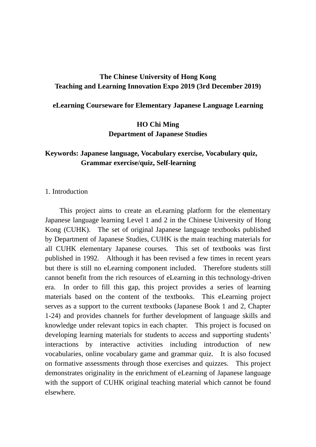# **The Chinese University of Hong Kong Teaching and Learning Innovation Expo 2019 (3rd December 2019)**

#### **eLearning Courseware for Elementary Japanese Language Learning**

## **HO Chi Ming Department of Japanese Studies**

# **Keywords: Japanese language, Vocabulary exercise, Vocabulary quiz, Grammar exercise/quiz, Self-learning**

#### 1. Introduction

 This project aims to create an eLearning platform for the elementary Japanese language learning Level 1 and 2 in the Chinese University of Hong Kong (CUHK). The set of original Japanese language textbooks published by Department of Japanese Studies, CUHK is the main teaching materials for all CUHK elementary Japanese courses. This set of textbooks was first published in 1992. Although it has been revised a few times in recent years but there is still no eLearning component included. Therefore students still cannot benefit from the rich resources of eLearning in this technology-driven era. In order to fill this gap, this project provides a series of learning materials based on the content of the textbooks. This eLearning project serves as a support to the current textbooks (Japanese Book 1 and 2, Chapter 1-24) and provides channels for further development of language skills and knowledge under relevant topics in each chapter. This project is focused on developing learning materials for students to access and supporting students' interactions by interactive activities including introduction of new vocabularies, online vocabulary game and grammar quiz. It is also focused on formative assessments through those exercises and quizzes. This project demonstrates originality in the enrichment of eLearning of Japanese language with the support of CUHK original teaching material which cannot be found elsewhere.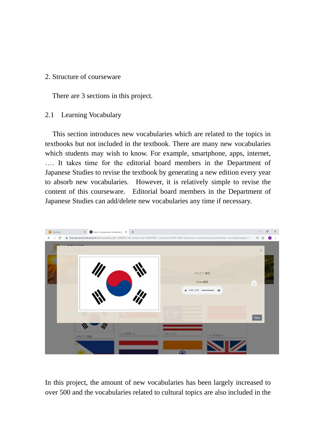#### 2. Structure of courseware

There are 3 sections in this project.

#### 2.1 Learning Vocabulary

 This section introduces new vocabularies which are related to the topics in textbooks but not included in the textbook. There are many new vocabularies which students may wish to know. For example, smartphone, apps, internet, …. It takes time for the editorial board members in the Department of Japanese Studies to revise the textbook by generating a new edition every year to absorb new vocabularies. However, it is relatively simple to revise the content of this courseware. Editorial board members in the Department of Japanese Studies can add/delete new vocabularies any time if necessary.



In this project, the amount of new vocabularies has been largely increased to over 500 and the vocabularies related to cultural topics are also included in the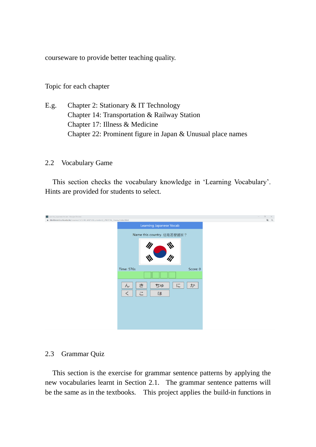courseware to provide better teaching quality.

Topic for each chapter

E.g. Chapter 2: Stationary & IT Technology Chapter 14: Transportation & Railway Station Chapter 17: Illness & Medicine Chapter 22: Prominent figure in Japan & Unusual place names

## 2.2 Vocabulary Game

 This section checks the vocabulary knowledge in 'Learning Vocabulary'. Hints are provided for students to select.

| Learning Japanese Vocab - Google Chrome<br>blackboard.cuhk.edu.hk/courses/1/CUHK-JASP-EJLL/content/_2969194_1/www/index.html |                                           | 配 Q |
|------------------------------------------------------------------------------------------------------------------------------|-------------------------------------------|-----|
|                                                                                                                              | <b>Learning Japanese Vocab</b>            |     |
|                                                                                                                              | Name this country. 這是甚麼國家?                |     |
|                                                                                                                              |                                           |     |
|                                                                                                                              | <b>Time: 576s</b><br>Score: 0             |     |
|                                                                                                                              |                                           |     |
|                                                                                                                              | に<br>吉<br>ちゅ<br>か<br>ん<br>こ<br>ほ<br>$\lt$ |     |
|                                                                                                                              |                                           |     |
|                                                                                                                              |                                           |     |
|                                                                                                                              |                                           |     |
|                                                                                                                              |                                           |     |

## 2.3 Grammar Quiz

 This section is the exercise for grammar sentence patterns by applying the new vocabularies learnt in Section 2.1. The grammar sentence patterns will be the same as in the textbooks. This project applies the build-in functions in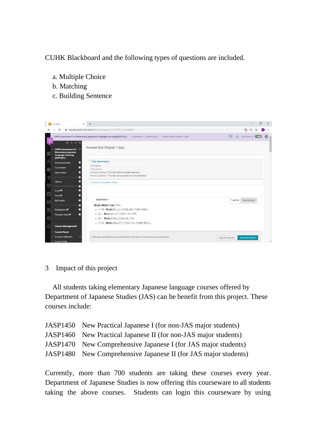CUHK Blackboard and the following types of questions are included.

- a. Multiple Choice
- b. Matching
- c. Building Sentence



3 Impact of this project

 All students taking elementary Japanese language courses offered by Department of Japanese Studies (JAS) can be benefit from this project. These courses include:

| JASP1450 New Practical Japanese I (for non-JAS major students)  |
|-----------------------------------------------------------------|
| JASP1460 New Practical Japanese II (for non-JAS major students) |
| JASP1470 New Comprehensive Japanese I (for JAS major students)  |
| JASP1480 New Comprehensive Japanese II (for JAS major students) |

Currently, more than 700 students are taking these courses every year. Department of Japanese Studies is now offering this courseware to all students taking the above courses. Students can login this courseware by using